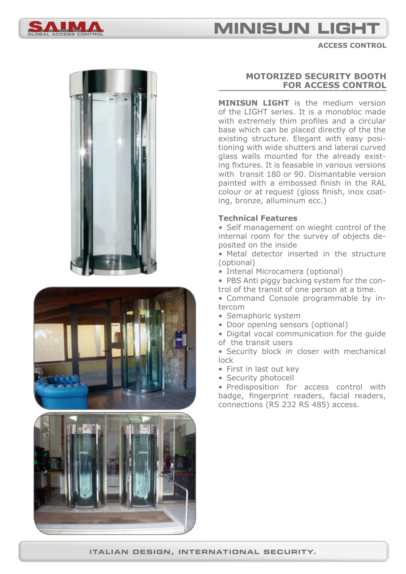

# **MINISUN LIGH**

**access control**







## **motorized security booth for access control**

**MINISUN LIGHT** is the medium version of the LIGHT series. It is a monobloc made with extremely thim profiles and a circular base which can be placed directly of the the existing structure. Elegant with easy positioning with wide shutters and lateral curved glass walls mounted for the already existing fixtures. It is feasable in various versions with transit 180 or 90. Dismantable version painted with a embossed finish in the RAL colour or at request (gloss finish, inox coating, bronze, alluminum ecc.)

### **Technical Features**

• Self management on wieght control of the internal room for the survey of objects deposited on the inside

• Metal detector inserted in the structure (optional)

• Intenal Microcamera (optional)

• PBS Anti piggy backing system for the control of the transit of one person at a time.

- Command Console programmable by intercom
- Semaphoric system
- Door opening sensors (optional)

• Digital vocal communication for the guide of the transit users

• Security block in closer with mechanical lock

- First in last out key
- Security photocell

• Predisposition for access control with badge, fingerprint readers, facial readers, connections (RS 232 RS 485) access.